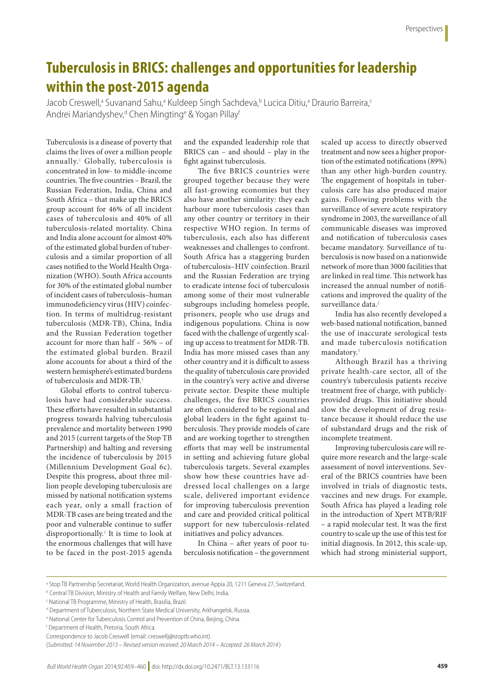## **Tuberculosis in BRICS: challenges and opportunities for leadership within the post-2015 agenda**

Jacob Creswell,<sup>a</sup> Suvanand Sahu,<sup>a</sup> Kuldeep Singh Sachdeva,<sup>b</sup> Lucica Ditiu,<sup>a</sup> Draurio Barreira,<sup>c</sup> Andrei Mariandyshev,<sup>d</sup> Chen Mingting<sup>e</sup> & Yogan Pillay<sup>f</sup>

Tuberculosis is a disease of poverty that claims the lives of over a million people annually.[1](#page-1-0) Globally, tuberculosis is concentrated in low- to middle-income countries. The five countries – Brazil, the Russian Federation, India, China and South Africa – that make up the BRICS group account for 46% of all incident cases of tuberculosis and 40% of all tuberculosis-related mortality. China and India alone account for almost 40% of the estimated global burden of tuberculosis and a similar proportion of all cases notified to the World Health Organization (WHO). South Africa accounts for 30% of the estimated global number of incident cases of tuberculosis–human immunodeficiency virus (HIV) coinfection. In terms of multidrug-resistant tuberculosis (MDR-TB), China, India and the Russian Federation together account for more than half – 56% – of the estimated global burden. Brazil alone accounts for about a third of the western hemisphere's estimated burdens of tuberculosis and MDR-TB[.1](#page-1-0)

Global efforts to control tuberculosis have had considerable success. These efforts have resulted in substantial progress towards halving tuberculosis prevalence and mortality between 1990 and 2015 (current targets of the Stop TB Partnership) and halting and reversing the incidence of tuberculosis by 2015 (Millennium Development Goal 6c). Despite this progress, about three million people developing tuberculosis are missed by national notification systems each year, only a small fraction of MDR-TB cases are being treated and the poor and vulnerable continue to suffer disproportionally.[1](#page-1-0) It is time to look at the enormous challenges that will have to be faced in the post-2015 agenda

and the expanded leadership role that BRICS can – and should – play in the fight against tuberculosis.

The five BRICS countries were grouped together because they were all fast-growing economies but they also have another similarity: they each harbour more tuberculosis cases than any other country or territory in their respective WHO region. In terms of tuberculosis, each also has different weaknesses and challenges to confront. South Africa has a staggering burden of tuberculosis–HIV coinfection. Brazil and the Russian Federation are trying to eradicate intense foci of tuberculosis among some of their most vulnerable subgroups including homeless people, prisoners, people who use drugs and indigenous populations. China is now faced with the challenge of urgently scaling up access to treatment for MDR-TB. India has more missed cases than any other country and it is difficult to assess the quality of tuberculosis care provided in the country's very active and diverse private sector. Despite these multiple challenges, the five BRICS countries are often considered to be regional and global leaders in the fight against tuberculosis. They provide models of care and are working together to strengthen efforts that may well be instrumental in setting and achieving future global tuberculosis targets. Several examples show how these countries have addressed local challenges on a large scale, delivered important evidence for improving tuberculosis prevention and care and provided critical political support for new tuberculosis-related initiatives and policy advances.

In China – after years of poor tuberculosis notification – the government scaled up access to directly observed treatment and now sees a higher proportion of the estimated notifications (89%) than any other high-burden country. The engagement of hospitals in tuberculosis care has also produced major gains. Following problems with the surveillance of severe acute respiratory syndrome in 2003, the surveillance of all communicable diseases was improved and notification of tuberculosis cases became mandatory. Surveillance of tuberculosis is now based on a nationwide network of more than 3000 facilities that are linked in real time. This network has increased the annual number of notifications and improved the quality of the surveillance data.<sup>[2](#page-1-1)</sup>

India has also recently developed a web-based national notification, banned the use of inaccurate serological tests and made tuberculosis notification mandatory.<sup>[3](#page-1-2)</sup>

Although Brazil has a thriving private health-care sector, all of the country's tuberculosis patients receive treatment free of charge, with publiclyprovided drugs. This initiative should slow the development of drug resistance because it should reduce the use of substandard drugs and the risk of incomplete treatment.

Improving tuberculosis care will require more research and the large-scale assessment of novel interventions. Several of the BRICS countries have been involved in trials of diagnostic tests, vaccines and new drugs. For example, South Africa has played a leading role in the introduction of Xpert MTB/RIF – a rapid molecular test. It was the first country to scale up the use of this test for initial diagnosis. In 2012, this scale-up, which had strong ministerial support,

a Stop TB Partnership Secretariat, World Health Organization, avenue Appia 20, 1211 Geneva 27, Switzerland.

b Central TB Division, Ministry of Health and Family Welfare, New Delhi, India.

c National TB Programme, Ministry of Health, Brasilia, Brazil.

d Department of Tuberculosis, Northern State Medical University, Arkhangelsk, Russia.

e National Center for Tuberculosis Control and Prevention of China, Beijing, China.

f Department of Health, Pretoria, South Africa.

Correspondence to Jacob Creswell (email: creswellj@stoptb.who.int).

<sup>(</sup>*Submitted: 14 November 2013 – Revised version received: 20 March 2014 – Accepted: 26 March 2014* )